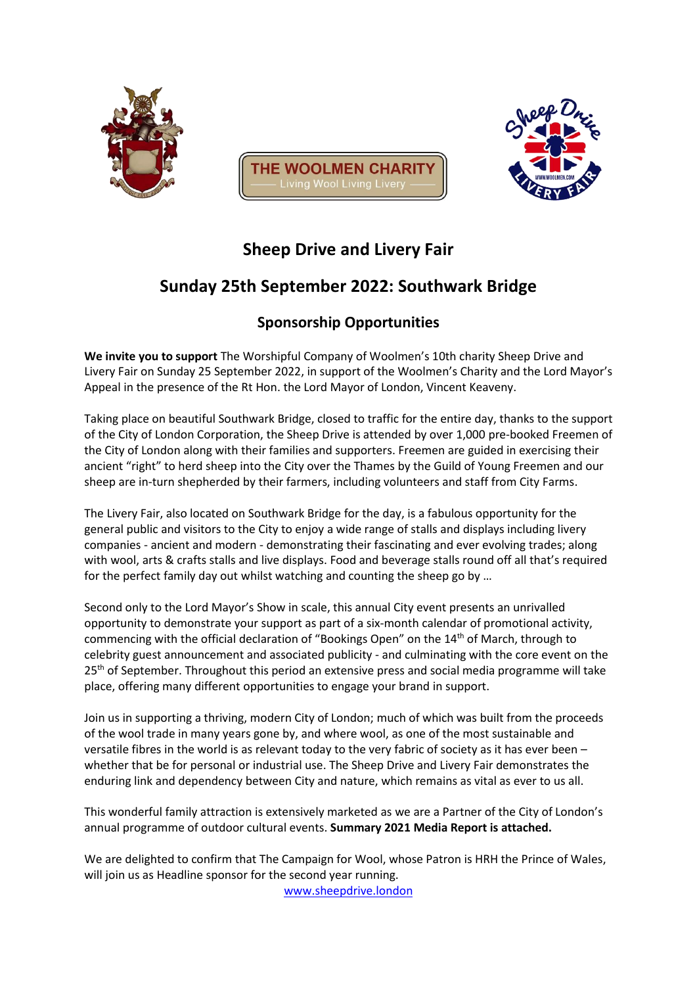





# **Sheep Drive and Livery Fair**

# **Sunday 25th September 2022: Southwark Bridge**

### **Sponsorship Opportunities**

**We invite you to support** The Worshipful Company of Woolmen's 10th charity Sheep Drive and Livery Fair on Sunday 25 September 2022, in support of the Woolmen's Charity and the Lord Mayor's Appeal in the presence of the Rt Hon. the Lord Mayor of London, Vincent Keaveny.

Taking place on beautiful Southwark Bridge, closed to traffic for the entire day, thanks to the support of the City of London Corporation, the Sheep Drive is attended by over 1,000 pre-booked Freemen of the City of London along with their families and supporters. Freemen are guided in exercising their ancient "right" to herd sheep into the City over the Thames by the Guild of Young Freemen and our sheep are in-turn shepherded by their farmers, including volunteers and staff from City Farms.

The Livery Fair, also located on Southwark Bridge for the day, is a fabulous opportunity for the general public and visitors to the City to enjoy a wide range of stalls and displays including livery companies - ancient and modern - demonstrating their fascinating and ever evolving trades; along with wool, arts & crafts stalls and live displays. Food and beverage stalls round off all that's required for the perfect family day out whilst watching and counting the sheep go by …

Second only to the Lord Mayor's Show in scale, this annual City event presents an unrivalled opportunity to demonstrate your support as part of a six-month calendar of promotional activity, commencing with the official declaration of "Bookings Open" on the 14<sup>th</sup> of March, through to celebrity guest announcement and associated publicity - and culminating with the core event on the 25<sup>th</sup> of September. Throughout this period an extensive press and social media programme will take place, offering many different opportunities to engage your brand in support.

Join us in supporting a thriving, modern City of London; much of which was built from the proceeds of the wool trade in many years gone by, and where wool, as one of the most sustainable and versatile fibres in the world is as relevant today to the very fabric of society as it has ever been – whether that be for personal or industrial use. The Sheep Drive and Livery Fair demonstrates the enduring link and dependency between City and nature, which remains as vital as ever to us all.

This wonderful family attraction is extensively marketed as we are a Partner of the City of London's annual programme of outdoor cultural events. **Summary 2021 Media Report is attached.**

We are delighted to confirm that The Campaign for Wool, whose Patron is HRH the Prince of Wales, will join us as Headline sponsor for the second year running.

[www.sheepdrive.london](http://www.sheepdrive.london/)